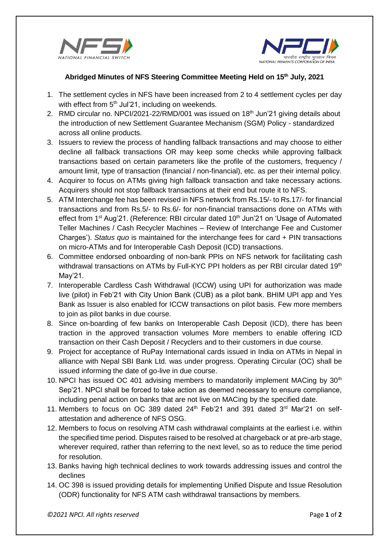



## **Abridged Minutes of NFS Steering Committee Meeting Held on 15th July, 2021**

- 1. The settlement cycles in NFS have been increased from 2 to 4 settlement cycles per day with effect from 5<sup>th</sup> Jul'21, including on weekends.
- 2. RMD circular no. NPCI/2021-22/RMD/001 was issued on  $18<sup>th</sup>$  Jun'21 giving details about the introduction of new Settlement Guarantee Mechanism (SGM) Policy - standardized across all online products.
- 3. Issuers to review the process of handling fallback transactions and may choose to either decline all fallback transactions OR may keep some checks while approving fallback transactions based on certain parameters like the profile of the customers, frequency / amount limit, type of transaction (financial / non-financial), etc. as per their internal policy.
- 4. Acquirer to focus on ATMs giving high fallback transaction and take necessary actions. Acquirers should not stop fallback transactions at their end but route it to NFS.
- 5. ATM Interchange fee has been revised in NFS network from Rs.15/- to Rs.17/- for financial transactions and from Rs.5/- to Rs.6/- for non-financial transactions done on ATMs with effect from 1<sup>st</sup> Aug'21. (Reference: RBI circular dated 10<sup>th</sup> Jun'21 on 'Usage of Automated Teller Machines / Cash Recycler Machines – Review of Interchange Fee and Customer Charges'). *Status quo* is maintained for the interchange fees for card + PIN transactions on micro-ATMs and for Interoperable Cash Deposit (ICD) transactions.
- 6. Committee endorsed onboarding of non-bank PPIs on NFS network for facilitating cash withdrawal transactions on ATMs by Full-KYC PPI holders as per RBI circular dated 19<sup>th</sup> May'21.
- 7. Interoperable Cardless Cash Withdrawal (ICCW) using UPI for authorization was made live (pilot) in Feb'21 with City Union Bank (CUB) as a pilot bank. BHIM UPI app and Yes Bank as Issuer is also enabled for ICCW transactions on pilot basis. Few more members to join as pilot banks in due course.
- 8. Since on-boarding of few banks on Interoperable Cash Deposit (ICD), there has been traction in the approved transaction volumes More members to enable offering ICD transaction on their Cash Deposit / Recyclers and to their customers in due course.
- 9. Project for acceptance of RuPay International cards issued in India on ATMs in Nepal in alliance with Nepal SBI Bank Ltd. was under progress. Operating Circular (OC) shall be issued informing the date of go-live in due course.
- 10. NPCI has issued OC 401 advising members to mandatorily implement MACing by 30<sup>th</sup> Sep'21. NPCI shall be forced to take action as deemed necessary to ensure compliance, including penal action on banks that are not live on MACing by the specified date.
- 11. Members to focus on OC 389 dated  $24<sup>th</sup>$  Feb'21 and 391 dated  $3<sup>rd</sup>$  Mar'21 on selfattestation and adherence of NFS OSG.
- 12. Members to focus on resolving ATM cash withdrawal complaints at the earliest i.e. within the specified time period. Disputes raised to be resolved at chargeback or at pre-arb stage, wherever required, rather than referring to the next level, so as to reduce the time period for resolution.
- 13. Banks having high technical declines to work towards addressing issues and control the declines
- 14. OC 398 is issued providing details for implementing Unified Dispute and Issue Resolution (ODR) functionality for NFS ATM cash withdrawal transactions by members.